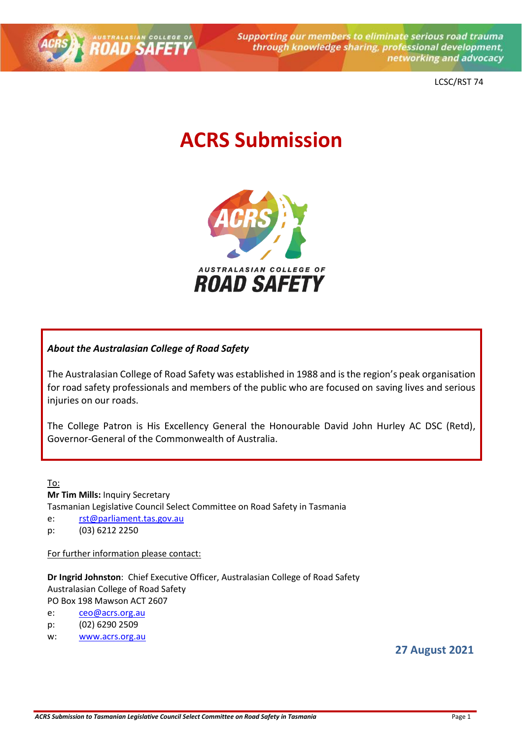

**Supporting our members to eliminate serious road trauma** through knowledge sharing, professional development, networking and advocacy

LCSC/RST 74

# **ACRS Submission**



#### *About the Australasian College of Road Safety*

The Australasian College of Road Safety was established in 1988 and is the region's peak organisation for road safety professionals and members of the public who are focused on saving lives and serious injuries on our roads.

The College Patron is His Excellency General the Honourable David John Hurley AC DSC (Retd), Governor-General of the Commonwealth of Australia.

To: **Mr Tim Mills:** Inquiry Secretary Tasmanian Legislative Council Select Committee on Road Safety in Tasmania e: [rst@parliament.tas.gov.au](mailto:rst@parliament.tas.gov.au) p: (03) 6212 2250

For further information please contact:

**Dr Ingrid Johnston**: Chief Executive Officer, Australasian College of Road Safety Australasian College of Road Safety PO Box 198 Mawson ACT 2607

e: [ceo@acrs.org.au](mailto:ceo@acrs.org.au)

p: (02) 6290 2509

w: [www.acrs.org.au](http://www.acrs.org.au/)

**27 August 2021**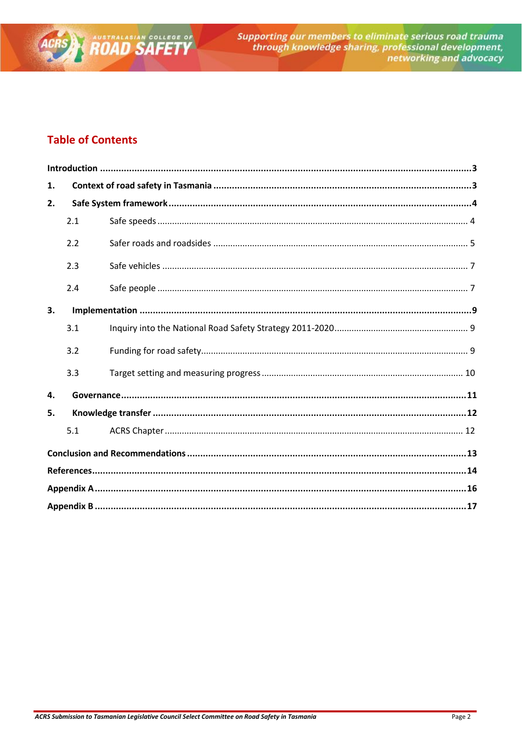

# **Table of Contents**

| 1. |     |  |  |
|----|-----|--|--|
| 2. |     |  |  |
|    | 2.1 |  |  |
|    | 2.2 |  |  |
|    | 2.3 |  |  |
|    | 2.4 |  |  |
| 3. |     |  |  |
|    | 3.1 |  |  |
|    | 3.2 |  |  |
|    | 3.3 |  |  |
| 4. |     |  |  |
| 5. |     |  |  |
|    | 5.1 |  |  |
|    |     |  |  |
|    |     |  |  |
|    |     |  |  |
|    |     |  |  |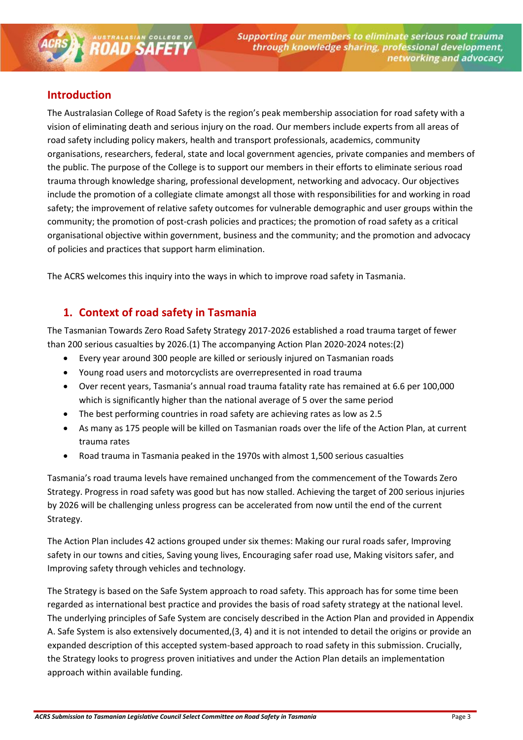## <span id="page-2-0"></span>**Introduction**

**ROAD SAFETY** 

The Australasian College of Road Safety is the region's peak membership association for road safety with a vision of eliminating death and serious injury on the road. Our members include experts from all areas of road safety including policy makers, health and transport professionals, academics, community organisations, researchers, federal, state and local government agencies, private companies and members of the public. The purpose of the College is to support our members in their efforts to eliminate serious road trauma through knowledge sharing, professional development, networking and advocacy. Our objectives include the promotion of a collegiate climate amongst all those with responsibilities for and working in road safety; the improvement of relative safety outcomes for vulnerable demographic and user groups within the community; the promotion of post-crash policies and practices; the promotion of road safety as a critical organisational objective within government, business and the community; and the promotion and advocacy of policies and practices that support harm elimination.

<span id="page-2-1"></span>The ACRS welcomes this inquiry into the ways in which to improve road safety in Tasmania.

# **1. Context of road safety in Tasmania**

The Tasmanian Towards Zero Road Safety Strategy 2017-2026 established a road trauma target of fewer than 200 serious casualties by 2026.(1) The accompanying Action Plan 2020-2024 notes:(2)

- Every year around 300 people are killed or seriously injured on Tasmanian roads
- Young road users and motorcyclists are overrepresented in road trauma
- Over recent years, Tasmania's annual road trauma fatality rate has remained at 6.6 per 100,000 which is significantly higher than the national average of 5 over the same period
- The best performing countries in road safety are achieving rates as low as 2.5
- As many as 175 people will be killed on Tasmanian roads over the life of the Action Plan, at current trauma rates
- Road trauma in Tasmania peaked in the 1970s with almost 1,500 serious casualties

Tasmania's road trauma levels have remained unchanged from the commencement of the Towards Zero Strategy. Progress in road safety was good but has now stalled. Achieving the target of 200 serious injuries by 2026 will be challenging unless progress can be accelerated from now until the end of the current Strategy.

The Action Plan includes 42 actions grouped under six themes: Making our rural roads safer, Improving safety in our towns and cities, Saving young lives, Encouraging safer road use, Making visitors safer, and Improving safety through vehicles and technology.

The Strategy is based on the Safe System approach to road safety. This approach has for some time been regarded as international best practice and provides the basis of road safety strategy at the national level. The underlying principles of Safe System are concisely described in the Action Plan and provided in Appendix A. Safe System is also extensively documented,(3, 4) and it is not intended to detail the origins or provide an expanded description of this accepted system-based approach to road safety in this submission. Crucially, the Strategy looks to progress proven initiatives and under the Action Plan details an implementation approach within available funding.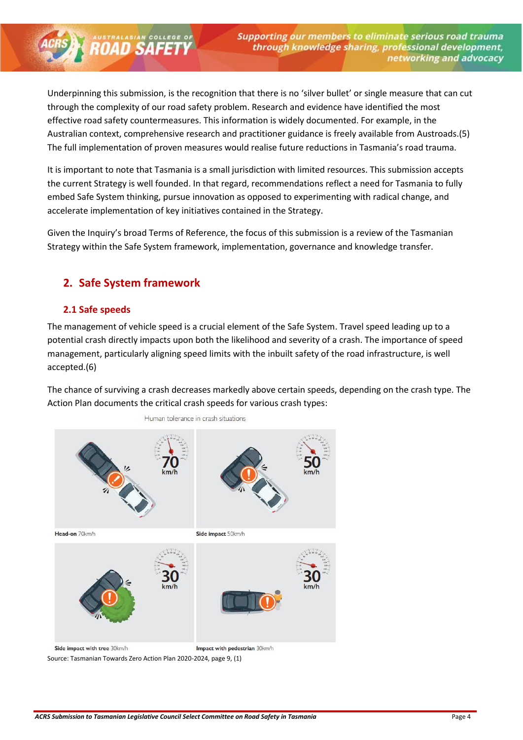Underpinning this submission, is the recognition that there is no 'silver bullet' or single measure that can cut through the complexity of our road safety problem. Research and evidence have identified the most effective road safety countermeasures. This information is widely documented. For example, in the Australian context, comprehensive research and practitioner guidance is freely available from Austroads.(5) The full implementation of proven measures would realise future reductions in Tasmania's road trauma.

It is important to note that Tasmania is a small jurisdiction with limited resources. This submission accepts the current Strategy is well founded. In that regard, recommendations reflect a need for Tasmania to fully embed Safe System thinking, pursue innovation as opposed to experimenting with radical change, and accelerate implementation of key initiatives contained in the Strategy.

Given the Inquiry's broad Terms of Reference, the focus of this submission is a review of the Tasmanian Strategy within the Safe System framework, implementation, governance and knowledge transfer.

# <span id="page-3-0"></span>**2. Safe System framework**

**ROAD SAFETY** 

#### <span id="page-3-1"></span>**2.1 Safe speeds**

The management of vehicle speed is a crucial element of the Safe System. Travel speed leading up to a potential crash directly impacts upon both the likelihood and severity of a crash. The importance of speed management, particularly aligning speed limits with the inbuilt safety of the road infrastructure, is well accepted.(6)

The chance of surviving a crash decreases markedly above certain speeds, depending on the crash type. The Action Plan documents the critical crash speeds for various crash types:



Source: Tasmanian Towards Zero Action Plan 2020-2024, page 9, (1)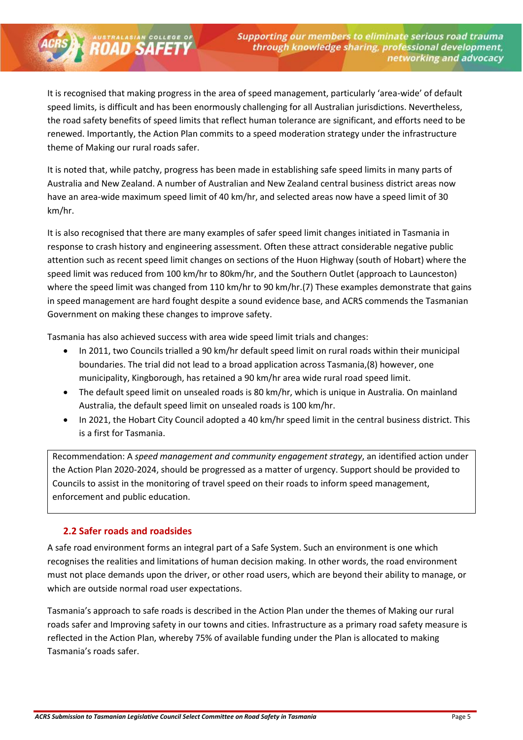It is recognised that making progress in the area of speed management, particularly 'area-wide' of default speed limits, is difficult and has been enormously challenging for all Australian jurisdictions. Nevertheless, the road safety benefits of speed limits that reflect human tolerance are significant, and efforts need to be renewed. Importantly, the Action Plan commits to a speed moderation strategy under the infrastructure theme of Making our rural roads safer.

It is noted that, while patchy, progress has been made in establishing safe speed limits in many parts of Australia and New Zealand. A number of Australian and New Zealand central business district areas now have an area-wide maximum speed limit of 40 km/hr, and selected areas now have a speed limit of 30 km/hr.

It is also recognised that there are many examples of safer speed limit changes initiated in Tasmania in response to crash history and engineering assessment. Often these attract considerable negative public attention such as recent speed limit changes on sections of the Huon Highway (south of Hobart) where the speed limit was reduced from 100 km/hr to 80km/hr, and the Southern Outlet (approach to Launceston) where the speed limit was changed from 110 km/hr to 90 km/hr.(7) These examples demonstrate that gains in speed management are hard fought despite a sound evidence base, and ACRS commends the Tasmanian Government on making these changes to improve safety.

Tasmania has also achieved success with area wide speed limit trials and changes:

- In 2011, two Councils trialled a 90 km/hr default speed limit on rural roads within their municipal boundaries. The trial did not lead to a broad application across Tasmania,(8) however, one municipality, Kingborough, has retained a 90 km/hr area wide rural road speed limit.
- The default speed limit on unsealed roads is 80 km/hr, which is unique in Australia. On mainland Australia, the default speed limit on unsealed roads is 100 km/hr.
- In 2021, the Hobart City Council adopted a 40 km/hr speed limit in the central business district. This is a first for Tasmania.

Recommendation: A *speed management and community engagement strategy*, an identified action under the Action Plan 2020-2024, should be progressed as a matter of urgency. Support should be provided to Councils to assist in the monitoring of travel speed on their roads to inform speed management, enforcement and public education.

#### <span id="page-4-0"></span>**2.2 Safer roads and roadsides**

**ROAD SAFETY** 

A safe road environment forms an integral part of a Safe System. Such an environment is one which recognises the realities and limitations of human decision making. In other words, the road environment must not place demands upon the driver, or other road users, which are beyond their ability to manage, or which are outside normal road user expectations.

Tasmania's approach to safe roads is described in the Action Plan under the themes of Making our rural roads safer and Improving safety in our towns and cities. Infrastructure as a primary road safety measure is reflected in the Action Plan, whereby 75% of available funding under the Plan is allocated to making Tasmania's roads safer.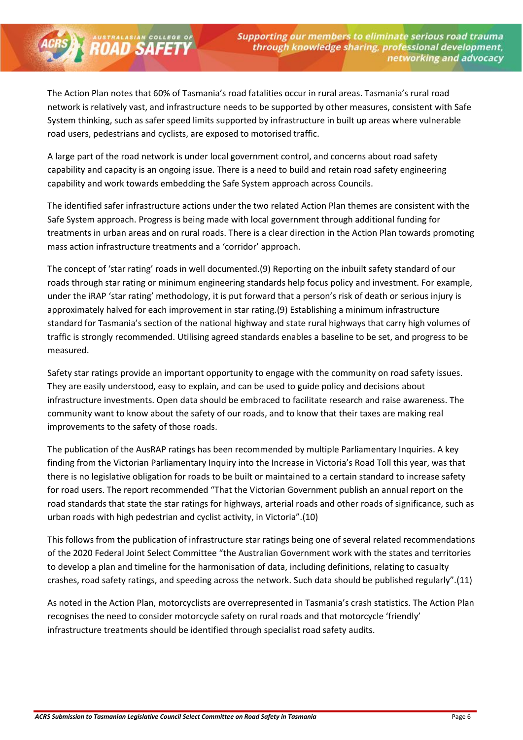The Action Plan notes that 60% of Tasmania's road fatalities occur in rural areas. Tasmania's rural road network is relatively vast, and infrastructure needs to be supported by other measures, consistent with Safe System thinking, such as safer speed limits supported by infrastructure in built up areas where vulnerable road users, pedestrians and cyclists, are exposed to motorised traffic.

A large part of the road network is under local government control, and concerns about road safety capability and capacity is an ongoing issue. There is a need to build and retain road safety engineering capability and work towards embedding the Safe System approach across Councils.

**ROAD SAFETY** 

The identified safer infrastructure actions under the two related Action Plan themes are consistent with the Safe System approach. Progress is being made with local government through additional funding for treatments in urban areas and on rural roads. There is a clear direction in the Action Plan towards promoting mass action infrastructure treatments and a 'corridor' approach.

The concept of 'star rating' roads in well documented.(9) Reporting on the inbuilt safety standard of our roads through star rating or minimum engineering standards help focus policy and investment. For example, under the iRAP 'star rating' methodology, it is put forward that a person's risk of death or serious injury is approximately halved for each improvement in star rating.(9) Establishing a minimum infrastructure standard for Tasmania's section of the national highway and state rural highways that carry high volumes of traffic is strongly recommended. Utilising agreed standards enables a baseline to be set, and progress to be measured.

Safety star ratings provide an important opportunity to engage with the community on road safety issues. They are easily understood, easy to explain, and can be used to guide policy and decisions about infrastructure investments. Open data should be embraced to facilitate research and raise awareness. The community want to know about the safety of our roads, and to know that their taxes are making real improvements to the safety of those roads.

The publication of the AusRAP ratings has been recommended by multiple Parliamentary Inquiries. A key finding from the Victorian Parliamentary Inquiry into the Increase in Victoria's Road Toll this year, was that there is no legislative obligation for roads to be built or maintained to a certain standard to increase safety for road users. The report recommended "That the Victorian Government publish an annual report on the road standards that state the star ratings for highways, arterial roads and other roads of significance, such as urban roads with high pedestrian and cyclist activity, in Victoria".(10)

This follows from the publication of infrastructure star ratings being one of several related recommendations of the 2020 Federal Joint Select Committee "the Australian Government work with the states and territories to develop a plan and timeline for the harmonisation of data, including definitions, relating to casualty crashes, road safety ratings, and speeding across the network. Such data should be published regularly".(11)

As noted in the Action Plan, motorcyclists are overrepresented in Tasmania's crash statistics. The Action Plan recognises the need to consider motorcycle safety on rural roads and that motorcycle 'friendly' infrastructure treatments should be identified through specialist road safety audits.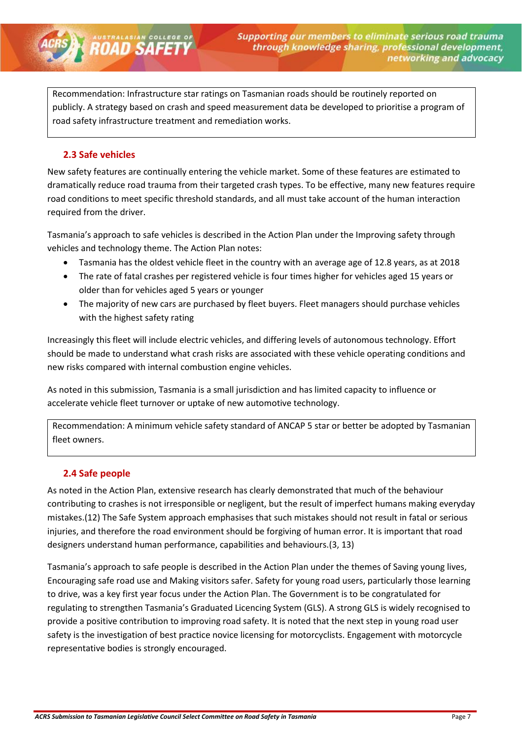Recommendation: Infrastructure star ratings on Tasmanian roads should be routinely reported on publicly. A strategy based on crash and speed measurement data be developed to prioritise a program of road safety infrastructure treatment and remediation works.

#### <span id="page-6-0"></span>**2.3 Safe vehicles**

**ROAD SAFETY** 

New safety features are continually entering the vehicle market. Some of these features are estimated to dramatically reduce road trauma from their targeted crash types. To be effective, many new features require road conditions to meet specific threshold standards, and all must take account of the human interaction required from the driver.

Tasmania's approach to safe vehicles is described in the Action Plan under the Improving safety through vehicles and technology theme. The Action Plan notes:

- Tasmania has the oldest vehicle fleet in the country with an average age of 12.8 years, as at 2018
- The rate of fatal crashes per registered vehicle is four times higher for vehicles aged 15 years or older than for vehicles aged 5 years or younger
- The majority of new cars are purchased by fleet buyers. Fleet managers should purchase vehicles with the highest safety rating

Increasingly this fleet will include electric vehicles, and differing levels of autonomous technology. Effort should be made to understand what crash risks are associated with these vehicle operating conditions and new risks compared with internal combustion engine vehicles.

As noted in this submission, Tasmania is a small jurisdiction and has limited capacity to influence or accelerate vehicle fleet turnover or uptake of new automotive technology.

Recommendation: A minimum vehicle safety standard of ANCAP 5 star or better be adopted by Tasmanian fleet owners.

#### <span id="page-6-1"></span>**2.4 Safe people**

As noted in the Action Plan, extensive research has clearly demonstrated that much of the behaviour contributing to crashes is not irresponsible or negligent, but the result of imperfect humans making everyday mistakes.(12) The Safe System approach emphasises that such mistakes should not result in fatal or serious injuries, and therefore the road environment should be forgiving of human error. It is important that road designers understand human performance, capabilities and behaviours.(3, 13)

Tasmania's approach to safe people is described in the Action Plan under the themes of Saving young lives, Encouraging safe road use and Making visitors safer. Safety for young road users, particularly those learning to drive, was a key first year focus under the Action Plan. The Government is to be congratulated for regulating to strengthen Tasmania's Graduated Licencing System (GLS). A strong GLS is widely recognised to provide a positive contribution to improving road safety. It is noted that the next step in young road user safety is the investigation of best practice novice licensing for motorcyclists. Engagement with motorcycle representative bodies is strongly encouraged.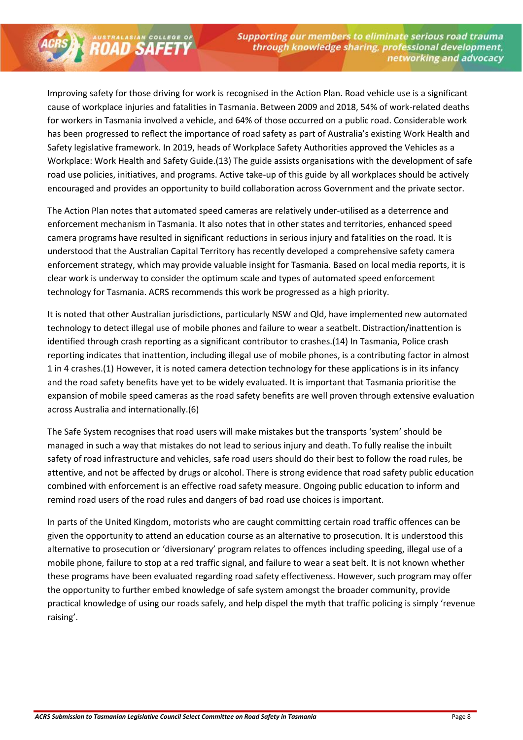Improving safety for those driving for work is recognised in the Action Plan. Road vehicle use is a significant cause of workplace injuries and fatalities in Tasmania. Between 2009 and 2018, 54% of work-related deaths for workers in Tasmania involved a vehicle, and 64% of those occurred on a public road. Considerable work has been progressed to reflect the importance of road safety as part of Australia's existing Work Health and Safety legislative framework. In 2019, heads of Workplace Safety Authorities approved the Vehicles as a Workplace: Work Health and Safety Guide.(13) The guide assists organisations with the development of safe road use policies, initiatives, and programs. Active take-up of this guide by all workplaces should be actively encouraged and provides an opportunity to build collaboration across Government and the private sector.

**ROAD SAFETY** 

The Action Plan notes that automated speed cameras are relatively under-utilised as a deterrence and enforcement mechanism in Tasmania. It also notes that in other states and territories, enhanced speed camera programs have resulted in significant reductions in serious injury and fatalities on the road. It is understood that the Australian Capital Territory has recently developed a comprehensive safety camera enforcement strategy, which may provide valuable insight for Tasmania. Based on local media reports, it is clear work is underway to consider the optimum scale and types of automated speed enforcement technology for Tasmania. ACRS recommends this work be progressed as a high priority.

It is noted that other Australian jurisdictions, particularly NSW and Qld, have implemented new automated technology to detect illegal use of mobile phones and failure to wear a seatbelt. Distraction/inattention is identified through crash reporting as a significant contributor to crashes.(14) In Tasmania, Police crash reporting indicates that inattention, including illegal use of mobile phones, is a contributing factor in almost 1 in 4 crashes.(1) However, it is noted camera detection technology for these applications is in its infancy and the road safety benefits have yet to be widely evaluated. It is important that Tasmania prioritise the expansion of mobile speed cameras as the road safety benefits are well proven through extensive evaluation across Australia and internationally.(6)

The Safe System recognises that road users will make mistakes but the transports 'system' should be managed in such a way that mistakes do not lead to serious injury and death. To fully realise the inbuilt safety of road infrastructure and vehicles, safe road users should do their best to follow the road rules, be attentive, and not be affected by drugs or alcohol. There is strong evidence that road safety public education combined with enforcement is an effective road safety measure. Ongoing public education to inform and remind road users of the road rules and dangers of bad road use choices is important.

In parts of the United Kingdom, motorists who are caught committing certain road traffic offences can be given the opportunity to attend an education course as an alternative to prosecution. It is understood this alternative to prosecution or 'diversionary' program relates to offences including speeding, illegal use of a mobile phone, failure to stop at a red traffic signal, and failure to wear a seat belt. It is not known whether these programs have been evaluated regarding road safety effectiveness. However, such program may offer the opportunity to further embed knowledge of safe system amongst the broader community, provide practical knowledge of using our roads safely, and help dispel the myth that traffic policing is simply 'revenue raising'.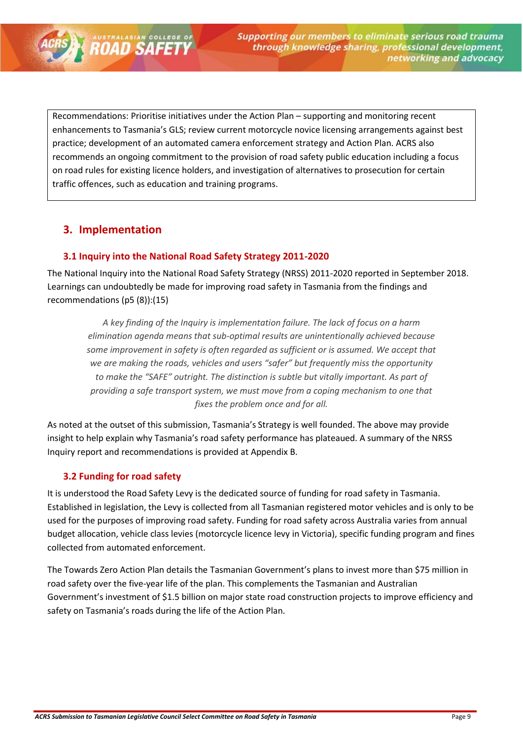Recommendations: Prioritise initiatives under the Action Plan – supporting and monitoring recent enhancements to Tasmania's GLS; review current motorcycle novice licensing arrangements against best practice; development of an automated camera enforcement strategy and Action Plan. ACRS also recommends an ongoing commitment to the provision of road safety public education including a focus on road rules for existing licence holders, and investigation of alternatives to prosecution for certain traffic offences, such as education and training programs.

# <span id="page-8-0"></span>**3. Implementation**

**ROAD SAFETY** 

#### <span id="page-8-1"></span>**3.1 Inquiry into the National Road Safety Strategy 2011-2020**

The National Inquiry into the National Road Safety Strategy (NRSS) 2011-2020 reported in September 2018. Learnings can undoubtedly be made for improving road safety in Tasmania from the findings and recommendations (p5 (8)):(15)

*A key finding of the Inquiry is implementation failure. The lack of focus on a harm elimination agenda means that sub-optimal results are unintentionally achieved because some improvement in safety is often regarded as sufficient or is assumed. We accept that we are making the roads, vehicles and users "safer" but frequently miss the opportunity to make the "SAFE" outright. The distinction is subtle but vitally important. As part of providing a safe transport system, we must move from a coping mechanism to one that fixes the problem once and for all.*

As noted at the outset of this submission, Tasmania's Strategy is well founded. The above may provide insight to help explain why Tasmania's road safety performance has plateaued. A summary of the NRSS Inquiry report and recommendations is provided at Appendix B.

## <span id="page-8-2"></span>**3.2 Funding for road safety**

It is understood the Road Safety Levy is the dedicated source of funding for road safety in Tasmania. Established in legislation, the Levy is collected from all Tasmanian registered motor vehicles and is only to be used for the purposes of improving road safety. Funding for road safety across Australia varies from annual budget allocation, vehicle class levies (motorcycle licence levy in Victoria), specific funding program and fines collected from automated enforcement.

The Towards Zero Action Plan details the Tasmanian Government's plans to invest more than \$75 million in road safety over the five-year life of the plan. This complements the Tasmanian and Australian Government's investment of \$1.5 billion on major state road construction projects to improve efficiency and safety on Tasmania's roads during the life of the Action Plan.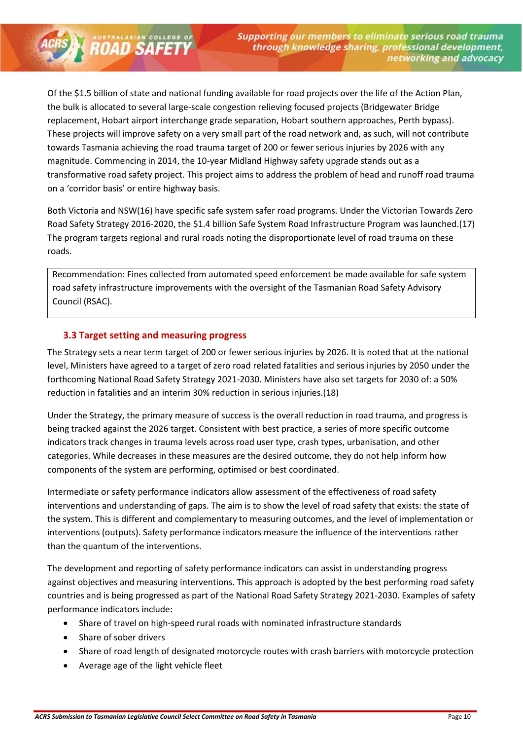Of the \$1.5 billion of state and national funding available for road projects over the life of the Action Plan, the bulk is allocated to several large-scale congestion relieving focused projects (Bridgewater Bridge replacement, Hobart airport interchange grade separation, Hobart southern approaches, Perth bypass). These projects will improve safety on a very small part of the road network and, as such, will not contribute towards Tasmania achieving the road trauma target of 200 or fewer serious injuries by 2026 with any magnitude. Commencing in 2014, the 10-year Midland Highway safety upgrade stands out as a transformative road safety project. This project aims to address the problem of head and runoff road trauma on a 'corridor basis' or entire highway basis.

Both Victoria and NSW(16) have specific safe system safer road programs. Under the Victorian Towards Zero Road Safety Strategy 2016-2020, the \$1.4 billion Safe System Road Infrastructure Program was launched.(17) The program targets regional and rural roads noting the disproportionate level of road trauma on these roads.

Recommendation: Fines collected from automated speed enforcement be made available for safe system road safety infrastructure improvements with the oversight of the Tasmanian Road Safety Advisory Council (RSAC).

#### <span id="page-9-0"></span>**3.3 Target setting and measuring progress**

**ROAD SAFETY** 

The Strategy sets a near term target of 200 or fewer serious injuries by 2026. It is noted that at the national level, Ministers have agreed to a target of zero road related fatalities and serious injuries by 2050 under the forthcoming National Road Safety Strategy 2021-2030. Ministers have also set targets for 2030 of: a 50% reduction in fatalities and an interim 30% reduction in serious injuries.(18)

Under the Strategy, the primary measure of success is the overall reduction in road trauma, and progress is being tracked against the 2026 target. Consistent with best practice, a series of more specific outcome indicators track changes in trauma levels across road user type, crash types, urbanisation, and other categories. While decreases in these measures are the desired outcome, they do not help inform how components of the system are performing, optimised or best coordinated.

Intermediate or safety performance indicators allow assessment of the effectiveness of road safety interventions and understanding of gaps. The aim is to show the level of road safety that exists: the state of the system. This is different and complementary to measuring outcomes, and the level of implementation or interventions (outputs). Safety performance indicators measure the influence of the interventions rather than the quantum of the interventions.

The development and reporting of safety performance indicators can assist in understanding progress against objectives and measuring interventions. This approach is adopted by the best performing road safety countries and is being progressed as part of the National Road Safety Strategy 2021-2030. Examples of safety performance indicators include:

- Share of travel on high-speed rural roads with nominated infrastructure standards
- Share of sober drivers
- Share of road length of designated motorcycle routes with crash barriers with motorcycle protection
- Average age of the light vehicle fleet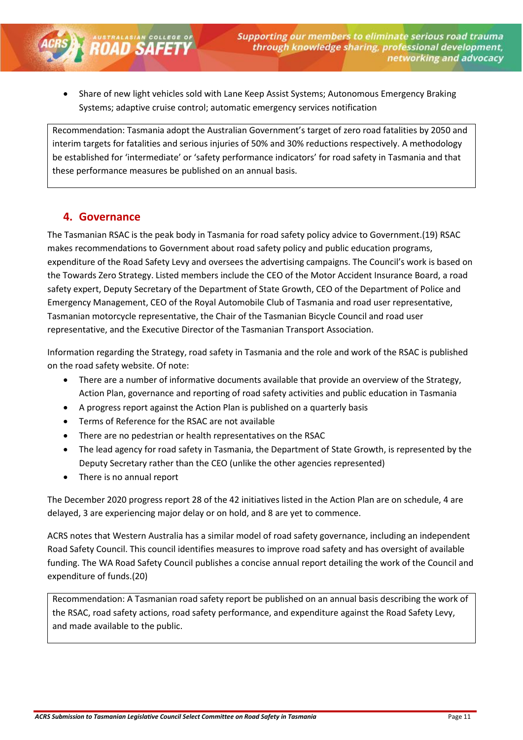• Share of new light vehicles sold with Lane Keep Assist Systems; Autonomous Emergency Braking Systems; adaptive cruise control; automatic emergency services notification

Recommendation: Tasmania adopt the Australian Government's target of zero road fatalities by 2050 and interim targets for fatalities and serious injuries of 50% and 30% reductions respectively. A methodology be established for 'intermediate' or 'safety performance indicators' for road safety in Tasmania and that these performance measures be published on an annual basis.

#### <span id="page-10-0"></span>**4. Governance**

**ROAD SAFETY** 

The Tasmanian RSAC is the peak body in Tasmania for road safety policy advice to Government.(19) RSAC makes recommendations to Government about road safety policy and public education programs, expenditure of the Road Safety Levy and oversees the advertising campaigns. The Council's work is based on the Towards Zero Strategy. Listed members include the CEO of the Motor Accident Insurance Board, a road safety expert, Deputy Secretary of the Department of State Growth, CEO of the Department of Police and Emergency Management, CEO of the Royal Automobile Club of Tasmania and road user representative, Tasmanian motorcycle representative, the Chair of the Tasmanian Bicycle Council and road user representative, and the Executive Director of the Tasmanian Transport Association.

Information regarding the Strategy, road safety in Tasmania and the role and work of the RSAC is published on the road safety website. Of note:

- There are a number of informative documents available that provide an overview of the Strategy, Action Plan, governance and reporting of road safety activities and public education in Tasmania
- A progress report against the Action Plan is published on a quarterly basis
- Terms of Reference for the RSAC are not available
- There are no pedestrian or health representatives on the RSAC
- The lead agency for road safety in Tasmania, the Department of State Growth, is represented by the Deputy Secretary rather than the CEO (unlike the other agencies represented)
- There is no annual report

The December 2020 progress report 28 of the 42 initiatives listed in the Action Plan are on schedule, 4 are delayed, 3 are experiencing major delay or on hold, and 8 are yet to commence.

ACRS notes that Western Australia has a similar model of road safety governance, including an independent Road Safety Council. This council identifies measures to improve road safety and has oversight of available funding. The WA Road Safety Council publishes a concise annual report detailing the work of the Council and expenditure of funds.(20)

Recommendation: A Tasmanian road safety report be published on an annual basis describing the work of the RSAC, road safety actions, road safety performance, and expenditure against the Road Safety Levy, and made available to the public.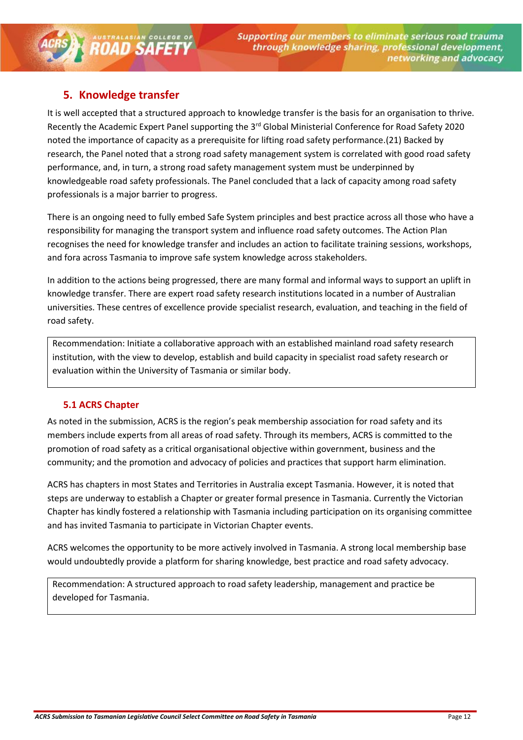# <span id="page-11-0"></span>**5. Knowledge transfer**

**ROAD SAFETY** 

It is well accepted that a structured approach to knowledge transfer is the basis for an organisation to thrive. Recently the Academic Expert Panel supporting the 3<sup>rd</sup> Global Ministerial Conference for Road Safety 2020 noted the importance of capacity as a prerequisite for lifting road safety performance.(21) Backed by research, the Panel noted that a strong road safety management system is correlated with good road safety performance, and, in turn, a strong road safety management system must be underpinned by knowledgeable road safety professionals. The Panel concluded that a lack of capacity among road safety professionals is a major barrier to progress.

There is an ongoing need to fully embed Safe System principles and best practice across all those who have a responsibility for managing the transport system and influence road safety outcomes. The Action Plan recognises the need for knowledge transfer and includes an action to facilitate training sessions, workshops, and fora across Tasmania to improve safe system knowledge across stakeholders.

In addition to the actions being progressed, there are many formal and informal ways to support an uplift in knowledge transfer. There are expert road safety research institutions located in a number of Australian universities. These centres of excellence provide specialist research, evaluation, and teaching in the field of road safety.

Recommendation: Initiate a collaborative approach with an established mainland road safety research institution, with the view to develop, establish and build capacity in specialist road safety research or evaluation within the University of Tasmania or similar body.

#### <span id="page-11-1"></span>**5.1 ACRS Chapter**

As noted in the submission, ACRS is the region's peak membership association for road safety and its members include experts from all areas of road safety. Through its members, ACRS is committed to the promotion of road safety as a critical organisational objective within government, business and the community; and the promotion and advocacy of policies and practices that support harm elimination.

ACRS has chapters in most States and Territories in Australia except Tasmania. However, it is noted that steps are underway to establish a Chapter or greater formal presence in Tasmania. Currently the Victorian Chapter has kindly fostered a relationship with Tasmania including participation on its organising committee and has invited Tasmania to participate in Victorian Chapter events.

ACRS welcomes the opportunity to be more actively involved in Tasmania. A strong local membership base would undoubtedly provide a platform for sharing knowledge, best practice and road safety advocacy.

Recommendation: A structured approach to road safety leadership, management and practice be developed for Tasmania.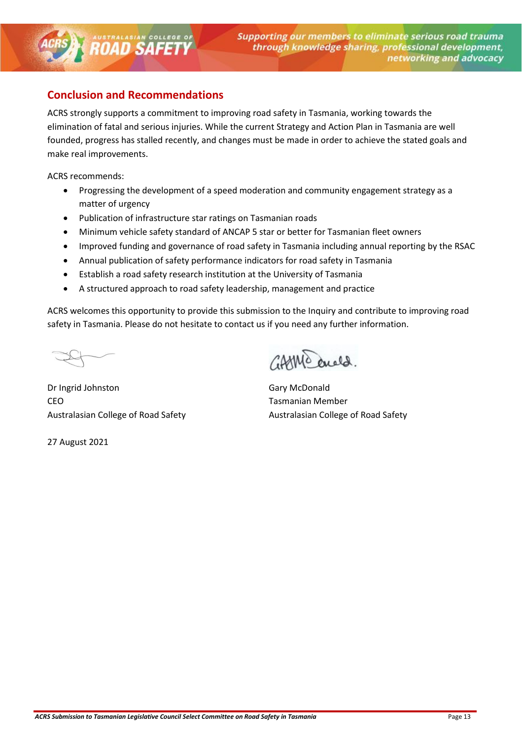# <span id="page-12-0"></span>**Conclusion and Recommendations**

**ROAD SAFETY** 

ACRS strongly supports a commitment to improving road safety in Tasmania, working towards the elimination of fatal and serious injuries. While the current Strategy and Action Plan in Tasmania are well founded, progress has stalled recently, and changes must be made in order to achieve the stated goals and make real improvements.

ACRS recommends:

- Progressing the development of a speed moderation and community engagement strategy as a matter of urgency
- Publication of infrastructure star ratings on Tasmanian roads
- Minimum vehicle safety standard of ANCAP 5 star or better for Tasmanian fleet owners
- Improved funding and governance of road safety in Tasmania including annual reporting by the RSAC
- Annual publication of safety performance indicators for road safety in Tasmania
- Establish a road safety research institution at the University of Tasmania
- A structured approach to road safety leadership, management and practice

ACRS welcomes this opportunity to provide this submission to the Inquiry and contribute to improving road safety in Tasmania. Please do not hesitate to contact us if you need any further information.

Dr Ingrid Johnston Gary McDonald CEO **Tasmanian Member** Australasian College of Road Safety **Australasian College of Road Safety** Australasian College of Road Safety

27 August 2021

10 anela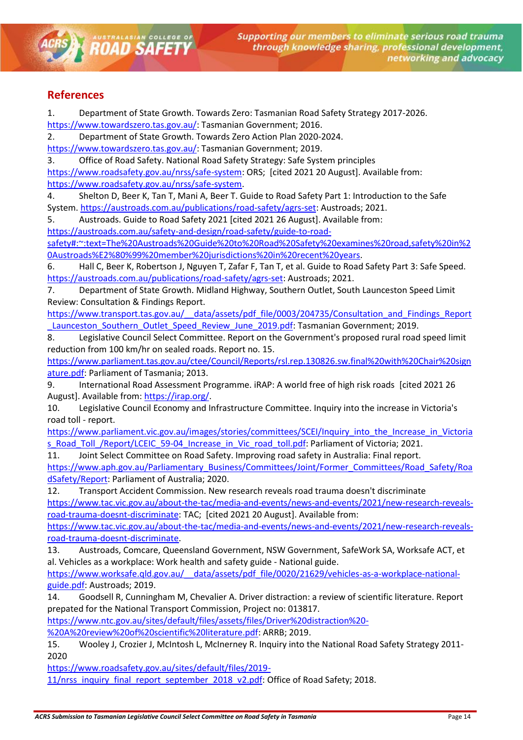## <span id="page-13-0"></span>**References**

1. Department of State Growth. Towards Zero: Tasmanian Road Safety Strategy 2017-2026. [https://www.towardszero.tas.gov.au/:](https://www.towardszero.tas.gov.au/) Tasmanian Government; 2016.

2. Department of State Growth. Towards Zero Action Plan 2020-2024.

[https://www.towardszero.tas.gov.au/:](https://www.towardszero.tas.gov.au/) Tasmanian Government; 2019.

**ROAD SAFETY** 

3. Office of Road Safety. National Road Safety Strategy: Safe System principles [https://www.roadsafety.gov.au/nrss/safe-system:](https://www.roadsafety.gov.au/nrss/safe-system) ORS; [cited 2021 20 August]. Available from: [https://www.roadsafety.gov.au/nrss/safe-system.](https://www.roadsafety.gov.au/nrss/safe-system)

4. Shelton D, Beer K, Tan T, Mani A, Beer T. Guide to Road Safety Part 1: Introduction to the Safe System[. https://austroads.com.au/publications/road-safety/agrs-set:](https://austroads.com.au/publications/road-safety/agrs-set) Austroads; 2021.

5. Austroads. Guide to Road Safety 2021 [cited 2021 26 August]. Available from:

[https://austroads.com.au/safety-and-design/road-safety/guide-to-road-](https://austroads.com.au/safety-and-design/road-safety/guide-to-road-safety#:~:text=The%20Austroads%20Guide%20to%20Road%20Safety%20examines%20road,safety%20in%20Austroads%E2%80%99%20member%20jurisdictions%20in%20recent%20years)

[safety#:~:text=The%20Austroads%20Guide%20to%20Road%20Safety%20examines%20road,safety%20in%2](https://austroads.com.au/safety-and-design/road-safety/guide-to-road-safety#:~:text=The%20Austroads%20Guide%20to%20Road%20Safety%20examines%20road,safety%20in%20Austroads%E2%80%99%20member%20jurisdictions%20in%20recent%20years) [0Austroads%E2%80%99%20member%20jurisdictions%20in%20recent%20years.](https://austroads.com.au/safety-and-design/road-safety/guide-to-road-safety#:~:text=The%20Austroads%20Guide%20to%20Road%20Safety%20examines%20road,safety%20in%20Austroads%E2%80%99%20member%20jurisdictions%20in%20recent%20years)

6. Hall C, Beer K, Robertson J, Nguyen T, Zafar F, Tan T, et al. Guide to Road Safety Part 3: Safe Speed. [https://austroads.com.au/publications/road-safety/agrs-set:](https://austroads.com.au/publications/road-safety/agrs-set) Austroads; 2021.

7. Department of State Growth. Midland Highway, Southern Outlet, South Launceston Speed Limit Review: Consultation & Findings Report.

[https://www.transport.tas.gov.au/\\_\\_data/assets/pdf\\_file/0003/204735/Consultation\\_and\\_Findings\\_Report](https://www.transport.tas.gov.au/__data/assets/pdf_file/0003/204735/Consultation_and_Findings_Report_Launceston_Southern_Outlet_Speed_Review_June_2019.pdf) Launceston Southern Outlet Speed Review June 2019.pdf: Tasmanian Government; 2019.

8. Legislative Council Select Committee. Report on the Government's proposed rural road speed limit reduction from 100 km/hr on sealed roads. Report no. 15.

[https://www.parliament.tas.gov.au/ctee/Council/Reports/rsl.rep.130826.sw.final%20with%20Chair%20sign](https://www.parliament.tas.gov.au/ctee/Council/Reports/rsl.rep.130826.sw.final%20with%20Chair%20signature.pdf) [ature.pdf:](https://www.parliament.tas.gov.au/ctee/Council/Reports/rsl.rep.130826.sw.final%20with%20Chair%20signature.pdf) Parliament of Tasmania; 2013.

9. International Road Assessment Programme. iRAP: A world free of high risk roads [cited 2021 26 August]. Available from: [https://irap.org/.](https://irap.org/)

10. Legislative Council Economy and Infrastructure Committee. Inquiry into the increase in Victoria's road toll - report.

[https://www.parliament.vic.gov.au/images/stories/committees/SCEI/Inquiry\\_into\\_the\\_Increase\\_in\\_Victoria](https://www.parliament.vic.gov.au/images/stories/committees/SCEI/Inquiry_into_the_Increase_in_Victorias_Road_Toll_/Report/LCEIC_59-04_Increase_in_Vic_road_toll.pdf) s Road Toll /Report/LCEIC 59-04 Increase in Vic road toll.pdf: Parliament of Victoria; 2021.

11. Joint Select Committee on Road Safety. Improving road safety in Australia: Final report.

[https://www.aph.gov.au/Parliamentary\\_Business/Committees/Joint/Former\\_Committees/Road\\_Safety/Roa](https://www.aph.gov.au/Parliamentary_Business/Committees/Joint/Former_Committees/Road_Safety/RoadSafety/Report) [dSafety/Report:](https://www.aph.gov.au/Parliamentary_Business/Committees/Joint/Former_Committees/Road_Safety/RoadSafety/Report) Parliament of Australia; 2020.

12. Transport Accident Commission. New research reveals road trauma doesn't discriminate

[https://www.tac.vic.gov.au/about-the-tac/media-and-events/news-and-events/2021/new-research-reveals](https://www.tac.vic.gov.au/about-the-tac/media-and-events/news-and-events/2021/new-research-reveals-road-trauma-doesnt-discriminate)[road-trauma-doesnt-discriminate:](https://www.tac.vic.gov.au/about-the-tac/media-and-events/news-and-events/2021/new-research-reveals-road-trauma-doesnt-discriminate) TAC; [cited 2021 20 August]. Available from:

[https://www.tac.vic.gov.au/about-the-tac/media-and-events/news-and-events/2021/new-research-reveals](https://www.tac.vic.gov.au/about-the-tac/media-and-events/news-and-events/2021/new-research-reveals-road-trauma-doesnt-discriminate)[road-trauma-doesnt-discriminate.](https://www.tac.vic.gov.au/about-the-tac/media-and-events/news-and-events/2021/new-research-reveals-road-trauma-doesnt-discriminate)

13. Austroads, Comcare, Queensland Government, NSW Government, SafeWork SA, Worksafe ACT, et al. Vehicles as a workplace: Work health and safety guide - National guide.

https://www.worksafe.qld.gov.au/ data/assets/pdf file/0020/21629/vehicles-as-a-workplace-national[guide.pdf:](https://www.worksafe.qld.gov.au/__data/assets/pdf_file/0020/21629/vehicles-as-a-workplace-national-guide.pdf) Austroads; 2019.

14. Goodsell R, Cunningham M, Chevalier A. Driver distraction: a review of scientific literature. Report prepated for the National Transport Commission, Project no: 013817.

[https://www.ntc.gov.au/sites/default/files/assets/files/Driver%20distraction%20-](https://www.ntc.gov.au/sites/default/files/assets/files/Driver%20distraction%20-%20A%20review%20of%20scientific%20literature.pdf)

[%20A%20review%20of%20scientific%20literature.pdf:](https://www.ntc.gov.au/sites/default/files/assets/files/Driver%20distraction%20-%20A%20review%20of%20scientific%20literature.pdf) ARRB; 2019.

15. Wooley J, Crozier J, McIntosh L, McInerney R. Inquiry into the National Road Safety Strategy 2011- 2020

[https://www.roadsafety.gov.au/sites/default/files/2019-](https://www.roadsafety.gov.au/sites/default/files/2019-11/nrss_inquiry_final_report_september_2018_v2.pdf)

[11/nrss\\_inquiry\\_final\\_report\\_september\\_2018\\_v2.pdf:](https://www.roadsafety.gov.au/sites/default/files/2019-11/nrss_inquiry_final_report_september_2018_v2.pdf) Office of Road Safety; 2018.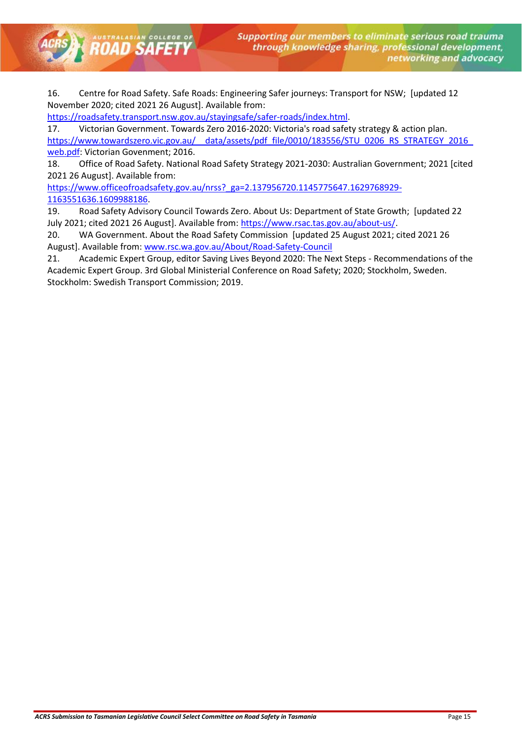16. Centre for Road Safety. Safe Roads: Engineering Safer journeys: Transport for NSW; [updated 12 November 2020; cited 2021 26 August]. Available from:

[https://roadsafety.transport.nsw.gov.au/stayingsafe/safer-roads/index.html.](https://roadsafety.transport.nsw.gov.au/stayingsafe/safer-roads/index.html)

**ROAD SAFETY** 

17. Victorian Government. Towards Zero 2016-2020: Victoria's road safety strategy & action plan. https://www.towardszero.vic.gov.au/ data/assets/pdf\_file/0010/183556/STU\_0206\_RS\_STRATEGY\_2016 [web.pdf:](https://www.towardszero.vic.gov.au/__data/assets/pdf_file/0010/183556/STU_0206_RS_STRATEGY_2016_web.pdf) Victorian Govenment; 2016.

18. Office of Road Safety. National Road Safety Strategy 2021-2030: Australian Government; 2021 [cited 2021 26 August]. Available from:

[https://www.officeofroadsafety.gov.au/nrss?\\_ga=2.137956720.1145775647.1629768929-](https://www.officeofroadsafety.gov.au/nrss?_ga=2.137956720.1145775647.1629768929-1163551636.1609988186) [1163551636.1609988186.](https://www.officeofroadsafety.gov.au/nrss?_ga=2.137956720.1145775647.1629768929-1163551636.1609988186)

19. Road Safety Advisory Council Towards Zero. About Us: Department of State Growth; [updated 22 July 2021; cited 2021 26 August]. Available from: [https://www.rsac.tas.gov.au/about-us/.](https://www.rsac.tas.gov.au/about-us/)

20. WA Government. About the Road Safety Commission [updated 25 August 2021; cited 2021 26 August]. Available from:<www.rsc.wa.gov.au/About/Road-Safety-Council>

21. Academic Expert Group, editor Saving Lives Beyond 2020: The Next Steps - Recommendations of the Academic Expert Group. 3rd Global Ministerial Conference on Road Safety; 2020; Stockholm, Sweden. Stockholm: Swedish Transport Commission; 2019.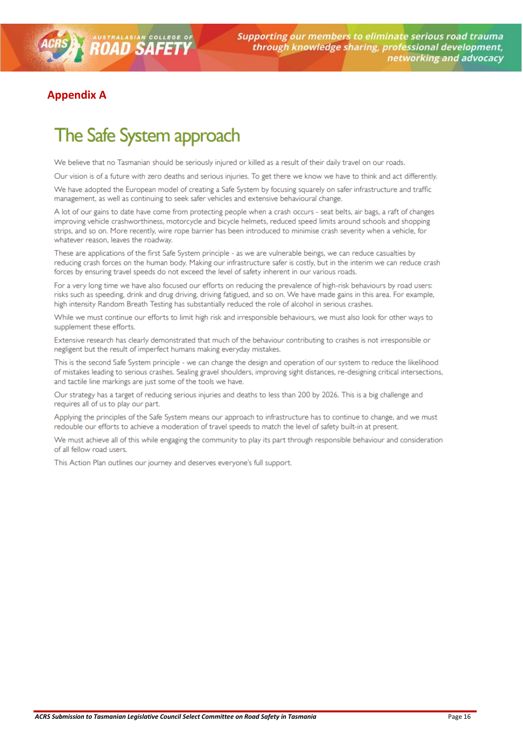# <span id="page-15-0"></span>**Appendix A**

# The Safe System approach

We believe that no Tasmanian should be seriously injured or killed as a result of their daily travel on our roads.

Our vision is of a future with zero deaths and serious injuries. To get there we know we have to think and act differently.

We have adopted the European model of creating a Safe System by focusing squarely on safer infrastructure and traffic management, as well as continuing to seek safer vehicles and extensive behavioural change.

A lot of our gains to date have come from protecting people when a crash occurs - seat belts, air bags, a raft of changes improving vehicle crashworthiness, motorcycle and bicycle helmets, reduced speed limits around schools and shopping strips, and so on. More recently, wire rope barrier has been introduced to minimise crash severity when a vehicle, for whatever reason, leaves the roadway.

These are applications of the first Safe System principle - as we are vulnerable beings, we can reduce casualties by reducing crash forces on the human body. Making our infrastructure safer is costly, but in the interim we can reduce crash forces by ensuring travel speeds do not exceed the level of safety inherent in our various roads.

For a very long time we have also focused our efforts on reducing the prevalence of high-risk behaviours by road users: risks such as speeding, drink and drug driving, driving fatigued, and so on. We have made gains in this area. For example, high intensity Random Breath Testing has substantially reduced the role of alcohol in serious crashes.

While we must continue our efforts to limit high risk and irresponsible behaviours, we must also look for other ways to supplement these efforts.

Extensive research has clearly demonstrated that much of the behaviour contributing to crashes is not irresponsible or negligent but the result of imperfect humans making everyday mistakes.

This is the second Safe System principle - we can change the design and operation of our system to reduce the likelihood of mistakes leading to serious crashes. Sealing gravel shoulders, improving sight distances, re-designing critical intersections, and tactile line markings are just some of the tools we have.

Our strategy has a target of reducing serious injuries and deaths to less than 200 by 2026. This is a big challenge and requires all of us to play our part.

Applying the principles of the Safe System means our approach to infrastructure has to continue to change, and we must redouble our efforts to achieve a moderation of travel speeds to match the level of safety built-in at present.

We must achieve all of this while engaging the community to play its part through responsible behaviour and consideration of all fellow road users.

This Action Plan outlines our journey and deserves everyone's full support.